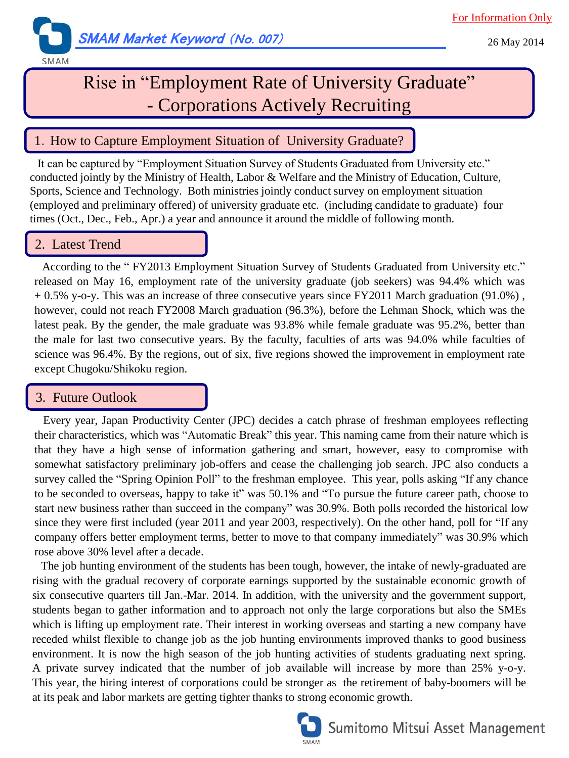

# Rise in "Employment Rate of University Graduate" - Corporations Actively Recruiting

## 1. How to Capture Employment Situation of University Graduate?

It can be captured by "Employment Situation Survey of Students Graduated from University etc." conducted jointly by the Ministry of Health, Labor & Welfare and the Ministry of Education, Culture, Sports, Science and Technology. Both ministries jointly conduct survey on employment situation (employed and preliminary offered) of university graduate etc. (including candidate to graduate) four times (Oct., Dec., Feb., Apr.) a year and announce it around the middle of following month.

### 2. Latest Trend

According to the " FY2013 Employment Situation Survey of Students Graduated from University etc." released on May 16, employment rate of the university graduate (job seekers) was 94.4% which was + 0.5% y-o-y. This was an increase of three consecutive years since FY2011 March graduation (91.0%) , however, could not reach FY2008 March graduation (96.3%), before the Lehman Shock, which was the latest peak. By the gender, the male graduate was 93.8% while female graduate was 95.2%, better than the male for last two consecutive years. By the faculty, faculties of arts was 94.0% while faculties of science was 96.4%. By the regions, out of six, five regions showed the improvement in employment rate except Chugoku/Shikoku region.

### 3. Future Outlook

 Every year, Japan Productivity Center (JPC) decides a catch phrase of freshman employees reflecting their characteristics, which was "Automatic Break" this year. This naming came from their nature which is that they have a high sense of information gathering and smart, however, easy to compromise with somewhat satisfactory preliminary job-offers and cease the challenging job search. JPC also conducts a survey called the "Spring Opinion Poll" to the freshman employee. This year, polls asking "If any chance to be seconded to overseas, happy to take it" was 50.1% and "To pursue the future career path, choose to start new business rather than succeed in the company" was 30.9%. Both polls recorded the historical low since they were first included (year 2011 and year 2003, respectively). On the other hand, poll for "If any company offers better employment terms, better to move to that company immediately" was 30.9% which rose above 30% level after a decade.

 The job hunting environment of the students has been tough, however, the intake of newly-graduated are rising with the gradual recovery of corporate earnings supported by the sustainable economic growth of six consecutive quarters till Jan.-Mar. 2014. In addition, with the university and the government support, students began to gather information and to approach not only the large corporations but also the SMEs which is lifting up employment rate. Their interest in working overseas and starting a new company have receded whilst flexible to change job as the job hunting environments improved thanks to good business environment. It is now the high season of the job hunting activities of students graduating next spring. A private survey indicated that the number of job available will increase by more than 25% y-o-y. This year, the hiring interest of corporations could be stronger as the retirement of baby-boomers will be at its peak and labor markets are getting tighter thanks to strong economic growth.



## Sumitomo Mitsui Asset Management

26 May 2014